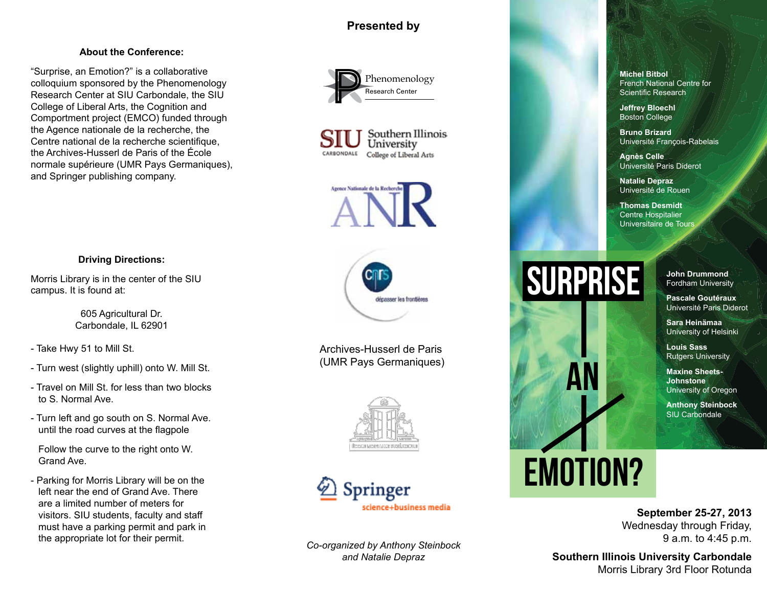## **Presented by**

## **About the Conference:**

"Surprise, an Emotion?" is a collaborative colloquium sponsored by the Phenomenology Research Center at SIU Carbondale, the SIU College of Liberal Arts, the Cognition and Comportment project (EMCO) funded through the Agence nationale de la recherche, the Centre national de la recherche scientifique. the Archives-Husserl de Paris of the École normale supérieure (UMR Pays Germaniques), and Springer publishing company.









Archives-Husserl de Paris (UMR Pays Germaniques)





*Co-organized by Anthony Steinbock and Natalie Depraz*

**Michel Bitbol** French National Centre for Scientific Research

**Jeffrey Bloechl** Boston College

**Bruno Brizard**  Université François-Rabelais

**Agnès Celle**  Université Paris Diderot

**Natalie Depraz** Université de Rouen

**Thomas Desmidt**  Centre Hospitalier Universitaire de Tours

## SURPRISE

**John Drummond**  Fordham University

**Pascale Goutéraux** Université Paris Diderot

**Sara Heinämaa**  University of Helsinki

**Louis Sass** Rutgers University

**Maxine Sheets-Johnstone** University of Oregon

**Anthony Steinbock** SIU Carbondale

# EMOTION?

AN

**September 25-27, 2013** Wednesday through Friday,

9 a.m. to 4:45 p.m.

**Southern Illinois University Carbondale** Morris Library 3rd Floor Rotunda

## **Driving Directions:**

Morris Library is in the center of the SIU campus. It is found at:

> 605 Agricultural Dr. Carbondale, IL 62901

- Take Hwy 51 to Mill St.

- Turn west (slightly uphill) onto W. Mill St.
- Travel on Mill St. for less than two blocks to S. Normal Ave.
- Turn left and go south on S. Normal Ave. until the road curves at the flagpole

Follow the curve to the right onto W. Grand Ave.

- Parking for Morris Library will be on the left near the end of Grand Ave. There are a limited number of meters for visitors. SIU students, faculty and staff must have a parking permit and park in the appropriate lot for their permit.